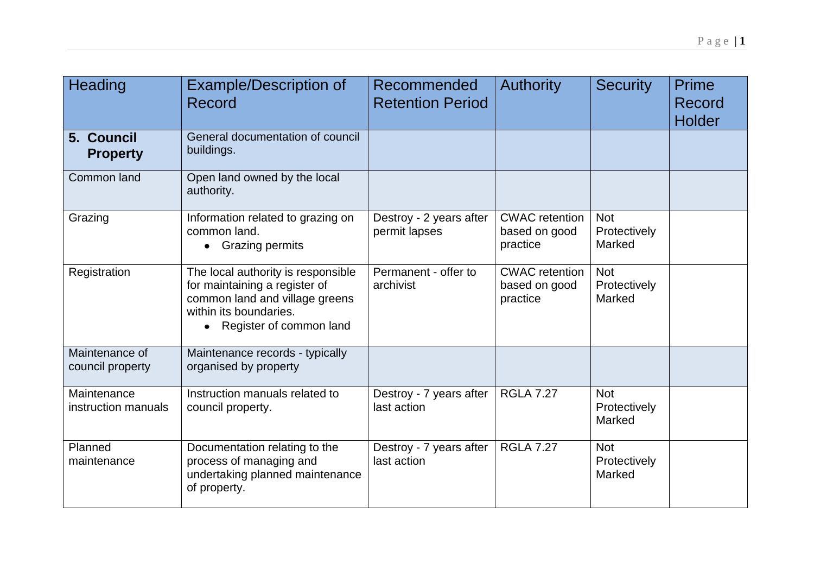| Heading                            | <b>Example/Description of</b><br>Record                                                                                                                                 | Recommended<br><b>Retention Period</b>   | <b>Authority</b>                                   | <b>Security</b>                      | Prime<br>Record<br>Holder |
|------------------------------------|-------------------------------------------------------------------------------------------------------------------------------------------------------------------------|------------------------------------------|----------------------------------------------------|--------------------------------------|---------------------------|
| 5. Council<br><b>Property</b>      | General documentation of council<br>buildings.                                                                                                                          |                                          |                                                    |                                      |                           |
| Common land                        | Open land owned by the local<br>authority.                                                                                                                              |                                          |                                                    |                                      |                           |
| Grazing                            | Information related to grazing on<br>common land.<br>• Grazing permits                                                                                                  | Destroy - 2 years after<br>permit lapses | <b>CWAC</b> retention<br>based on good<br>practice | <b>Not</b><br>Protectively<br>Marked |                           |
| Registration                       | The local authority is responsible<br>for maintaining a register of<br>common land and village greens<br>within its boundaries.<br>Register of common land<br>$\bullet$ | Permanent - offer to<br>archivist        | <b>CWAC</b> retention<br>based on good<br>practice | <b>Not</b><br>Protectively<br>Marked |                           |
| Maintenance of<br>council property | Maintenance records - typically<br>organised by property                                                                                                                |                                          |                                                    |                                      |                           |
| Maintenance<br>instruction manuals | Instruction manuals related to<br>council property.                                                                                                                     | Destroy - 7 years after<br>last action   | <b>RGLA 7.27</b>                                   | <b>Not</b><br>Protectively<br>Marked |                           |
| Planned<br>maintenance             | Documentation relating to the<br>process of managing and<br>undertaking planned maintenance<br>of property.                                                             | Destroy - 7 years after<br>last action   | <b>RGLA 7.27</b>                                   | <b>Not</b><br>Protectively<br>Marked |                           |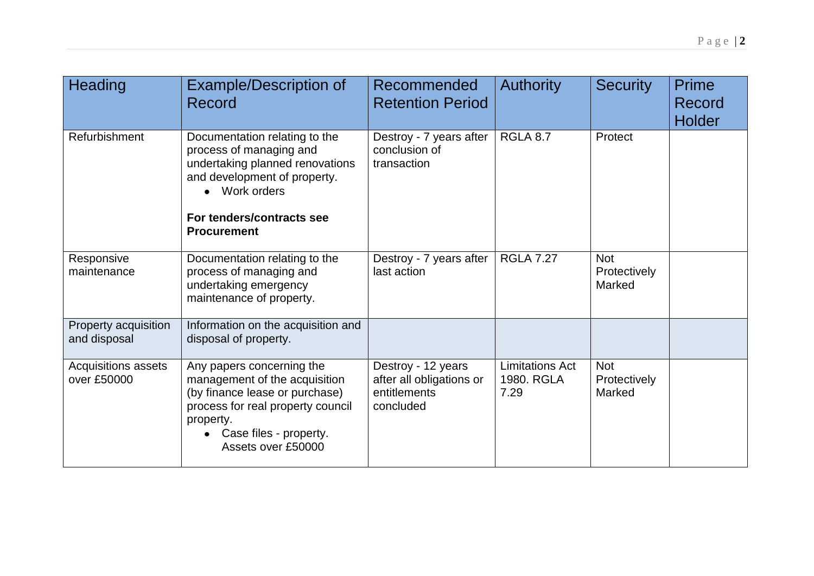| Heading                                   | <b>Example/Description of</b><br>Record                                                                                                                                                          | Recommended<br><b>Retention Period</b>                                      | <b>Authority</b>                             | <b>Security</b>                      | Prime<br>Record<br><b>Holder</b> |
|-------------------------------------------|--------------------------------------------------------------------------------------------------------------------------------------------------------------------------------------------------|-----------------------------------------------------------------------------|----------------------------------------------|--------------------------------------|----------------------------------|
| Refurbishment                             | Documentation relating to the<br>process of managing and<br>undertaking planned renovations<br>and development of property.<br>• Work orders                                                     | Destroy - 7 years after<br>conclusion of<br>transaction                     | <b>RGLA 8.7</b>                              | Protect                              |                                  |
|                                           | For tenders/contracts see<br><b>Procurement</b>                                                                                                                                                  |                                                                             |                                              |                                      |                                  |
| Responsive<br>maintenance                 | Documentation relating to the<br>process of managing and<br>undertaking emergency<br>maintenance of property.                                                                                    | Destroy - 7 years after<br>last action                                      | <b>RGLA 7.27</b>                             | <b>Not</b><br>Protectively<br>Marked |                                  |
| Property acquisition<br>and disposal      | Information on the acquisition and<br>disposal of property.                                                                                                                                      |                                                                             |                                              |                                      |                                  |
| <b>Acquisitions assets</b><br>over £50000 | Any papers concerning the<br>management of the acquisition<br>(by finance lease or purchase)<br>process for real property council<br>property.<br>• Case files - property.<br>Assets over £50000 | Destroy - 12 years<br>after all obligations or<br>entitlements<br>concluded | <b>Limitations Act</b><br>1980. RGLA<br>7.29 | <b>Not</b><br>Protectively<br>Marked |                                  |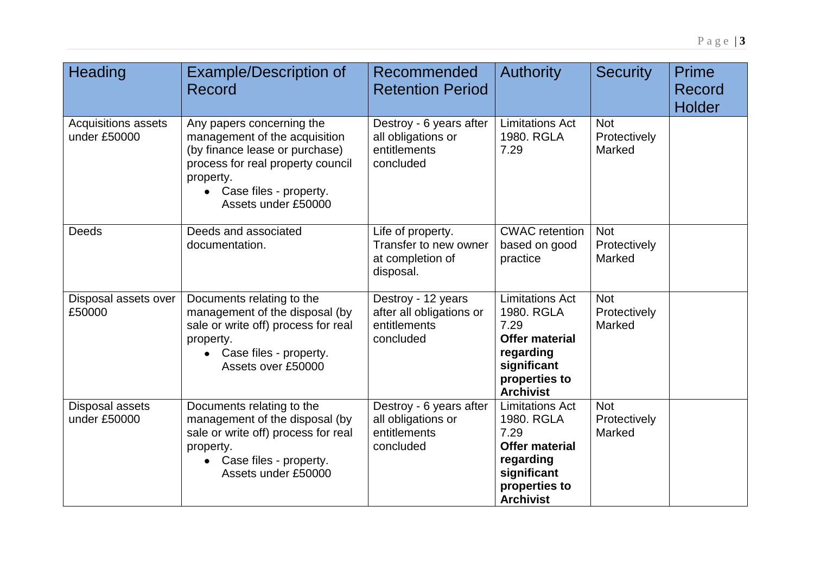| Heading                                    | <b>Example/Description of</b><br>Record                                                                                                                                                         | Recommended<br><b>Retention Period</b>                                      | <b>Authority</b>                                                                                                                       | <b>Security</b>                      | Prime<br>Record<br><b>Holder</b> |
|--------------------------------------------|-------------------------------------------------------------------------------------------------------------------------------------------------------------------------------------------------|-----------------------------------------------------------------------------|----------------------------------------------------------------------------------------------------------------------------------------|--------------------------------------|----------------------------------|
| <b>Acquisitions assets</b><br>under £50000 | Any papers concerning the<br>management of the acquisition<br>(by finance lease or purchase)<br>process for real property council<br>property.<br>Case files - property.<br>Assets under £50000 | Destroy - 6 years after<br>all obligations or<br>entitlements<br>concluded  | <b>Limitations Act</b><br>1980. RGLA<br>7.29                                                                                           | <b>Not</b><br>Protectively<br>Marked |                                  |
| <b>Deeds</b>                               | Deeds and associated<br>documentation.                                                                                                                                                          | Life of property.<br>Transfer to new owner<br>at completion of<br>disposal. | <b>CWAC</b> retention<br>based on good<br>practice                                                                                     | <b>Not</b><br>Protectively<br>Marked |                                  |
| Disposal assets over<br>£50000             | Documents relating to the<br>management of the disposal (by<br>sale or write off) process for real<br>property.<br>Case files - property.<br>Assets over £50000                                 | Destroy - 12 years<br>after all obligations or<br>entitlements<br>concluded | <b>Limitations Act</b><br>1980. RGLA<br>7.29<br><b>Offer material</b><br>regarding<br>significant<br>properties to<br><b>Archivist</b> | <b>Not</b><br>Protectively<br>Marked |                                  |
| Disposal assets<br>under £50000            | Documents relating to the<br>management of the disposal (by<br>sale or write off) process for real<br>property.<br>Case files - property.<br>Assets under £50000                                | Destroy - 6 years after<br>all obligations or<br>entitlements<br>concluded  | <b>Limitations Act</b><br>1980. RGLA<br>7.29<br><b>Offer material</b><br>regarding<br>significant<br>properties to<br><b>Archivist</b> | <b>Not</b><br>Protectively<br>Marked |                                  |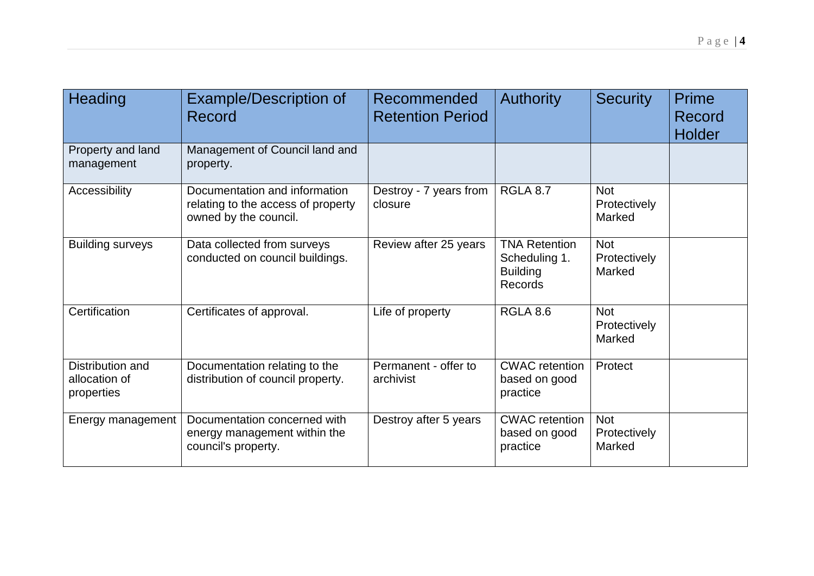| Heading                                         | <b>Example/Description of</b><br>Record                                                      | Recommended<br><b>Retention Period</b> | <b>Authority</b>                                                    | <b>Security</b>                      | Prime<br><b>Record</b><br><b>Holder</b> |
|-------------------------------------------------|----------------------------------------------------------------------------------------------|----------------------------------------|---------------------------------------------------------------------|--------------------------------------|-----------------------------------------|
| Property and land<br>management                 | Management of Council land and<br>property.                                                  |                                        |                                                                     |                                      |                                         |
| Accessibility                                   | Documentation and information<br>relating to the access of property<br>owned by the council. | Destroy - 7 years from<br>closure      | <b>RGLA 8.7</b>                                                     | <b>Not</b><br>Protectively<br>Marked |                                         |
| <b>Building surveys</b>                         | Data collected from surveys<br>conducted on council buildings.                               | Review after 25 years                  | <b>TNA Retention</b><br>Scheduling 1.<br><b>Building</b><br>Records | <b>Not</b><br>Protectively<br>Marked |                                         |
| Certification                                   | Certificates of approval.                                                                    | Life of property                       | <b>RGLA 8.6</b>                                                     | <b>Not</b><br>Protectively<br>Marked |                                         |
| Distribution and<br>allocation of<br>properties | Documentation relating to the<br>distribution of council property.                           | Permanent - offer to<br>archivist      | <b>CWAC</b> retention<br>based on good<br>practice                  | Protect                              |                                         |
| Energy management                               | Documentation concerned with<br>energy management within the<br>council's property.          | Destroy after 5 years                  | <b>CWAC</b> retention<br>based on good<br>practice                  | <b>Not</b><br>Protectively<br>Marked |                                         |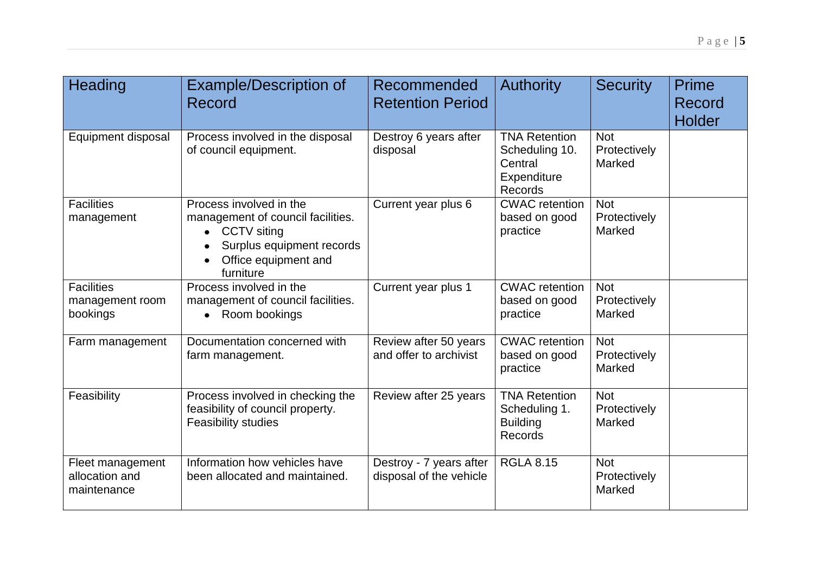| Heading                                           | <b>Example/Description of</b><br>Record                                                                                                       | Recommended<br><b>Retention Period</b>             | <b>Authority</b>                                                            | <b>Security</b>                      | <b>Prime</b><br>Record<br>Holder |
|---------------------------------------------------|-----------------------------------------------------------------------------------------------------------------------------------------------|----------------------------------------------------|-----------------------------------------------------------------------------|--------------------------------------|----------------------------------|
| Equipment disposal                                | Process involved in the disposal<br>of council equipment.                                                                                     | Destroy 6 years after<br>disposal                  | <b>TNA Retention</b><br>Scheduling 10.<br>Central<br>Expenditure<br>Records | <b>Not</b><br>Protectively<br>Marked |                                  |
| <b>Facilities</b><br>management                   | Process involved in the<br>management of council facilities.<br>CCTV siting<br>Surplus equipment records<br>Office equipment and<br>furniture | Current year plus 6                                | <b>CWAC</b> retention<br>based on good<br>practice                          | Not<br>Protectively<br>Marked        |                                  |
| <b>Facilities</b><br>management room<br>bookings  | Process involved in the<br>management of council facilities.<br>• Room bookings                                                               | Current year plus 1                                | <b>CWAC</b> retention<br>based on good<br>practice                          | <b>Not</b><br>Protectively<br>Marked |                                  |
| Farm management                                   | Documentation concerned with<br>farm management.                                                                                              | Review after 50 years<br>and offer to archivist    | <b>CWAC</b> retention<br>based on good<br>practice                          | <b>Not</b><br>Protectively<br>Marked |                                  |
| Feasibility                                       | Process involved in checking the<br>feasibility of council property.<br><b>Feasibility studies</b>                                            | Review after 25 years                              | <b>TNA Retention</b><br>Scheduling 1.<br><b>Building</b><br>Records         | <b>Not</b><br>Protectively<br>Marked |                                  |
| Fleet management<br>allocation and<br>maintenance | Information how vehicles have<br>been allocated and maintained.                                                                               | Destroy - 7 years after<br>disposal of the vehicle | <b>RGLA 8.15</b>                                                            | <b>Not</b><br>Protectively<br>Marked |                                  |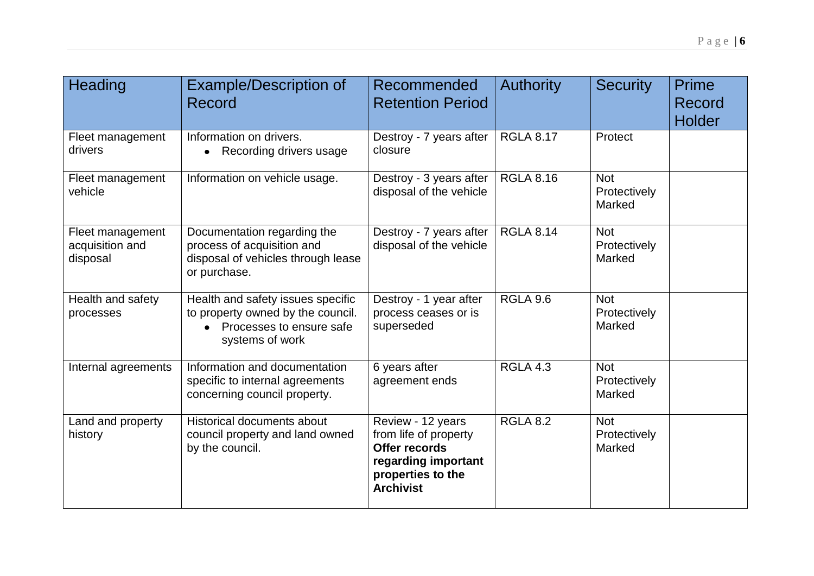| <b>Heading</b>                                  | <b>Example/Description of</b><br>Record                                                                               | Recommended<br><b>Retention Period</b>                                                                                      | <b>Authority</b> | <b>Security</b>                      | Prime<br><b>Record</b><br><b>Holder</b> |
|-------------------------------------------------|-----------------------------------------------------------------------------------------------------------------------|-----------------------------------------------------------------------------------------------------------------------------|------------------|--------------------------------------|-----------------------------------------|
| Fleet management<br>drivers                     | Information on drivers.<br>Recording drivers usage                                                                    | Destroy - 7 years after<br>closure                                                                                          | <b>RGLA 8.17</b> | Protect                              |                                         |
| Fleet management<br>vehicle                     | Information on vehicle usage.                                                                                         | Destroy - 3 years after<br>disposal of the vehicle                                                                          | <b>RGLA 8.16</b> | <b>Not</b><br>Protectively<br>Marked |                                         |
| Fleet management<br>acquisition and<br>disposal | Documentation regarding the<br>process of acquisition and<br>disposal of vehicles through lease<br>or purchase.       | Destroy - 7 years after<br>disposal of the vehicle                                                                          | <b>RGLA 8.14</b> | <b>Not</b><br>Protectively<br>Marked |                                         |
| Health and safety<br>processes                  | Health and safety issues specific<br>to property owned by the council.<br>Processes to ensure safe<br>systems of work | Destroy - 1 year after<br>process ceases or is<br>superseded                                                                | <b>RGLA 9.6</b>  | <b>Not</b><br>Protectively<br>Marked |                                         |
| Internal agreements                             | Information and documentation<br>specific to internal agreements<br>concerning council property.                      | 6 years after<br>agreement ends                                                                                             | <b>RGLA 4.3</b>  | <b>Not</b><br>Protectively<br>Marked |                                         |
| Land and property<br>history                    | <b>Historical documents about</b><br>council property and land owned<br>by the council.                               | Review - 12 years<br>from life of property<br>Offer records<br>regarding important<br>properties to the<br><b>Archivist</b> | <b>RGLA 8.2</b>  | <b>Not</b><br>Protectively<br>Marked |                                         |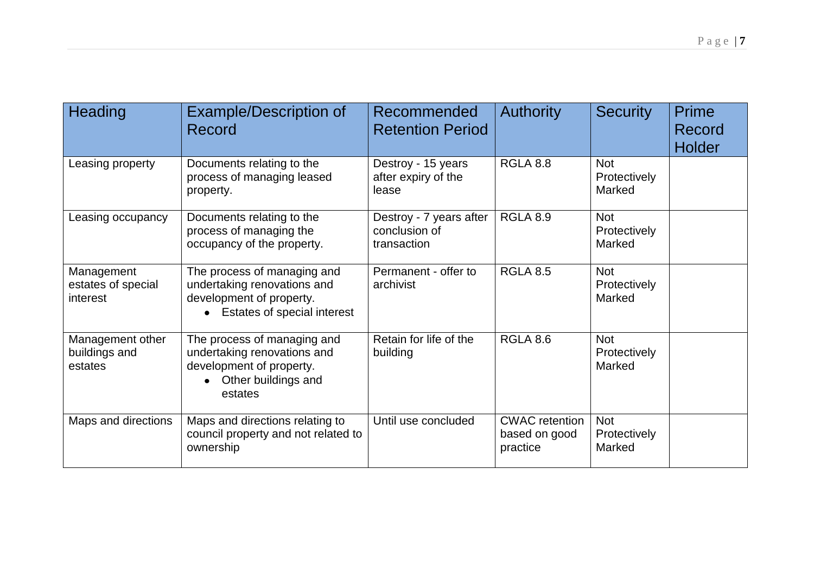| Heading                                      | <b>Example/Description of</b><br>Record                                                                                            | Recommended<br><b>Retention Period</b>                  | <b>Authority</b>                                   | <b>Security</b>                      | <b>Prime</b><br>Record<br><b>Holder</b> |
|----------------------------------------------|------------------------------------------------------------------------------------------------------------------------------------|---------------------------------------------------------|----------------------------------------------------|--------------------------------------|-----------------------------------------|
| Leasing property                             | Documents relating to the<br>process of managing leased<br>property.                                                               | Destroy - 15 years<br>after expiry of the<br>lease      | <b>RGLA 8.8</b>                                    | <b>Not</b><br>Protectively<br>Marked |                                         |
| Leasing occupancy                            | Documents relating to the<br>process of managing the<br>occupancy of the property.                                                 | Destroy - 7 years after<br>conclusion of<br>transaction | <b>RGLA 8.9</b>                                    | <b>Not</b><br>Protectively<br>Marked |                                         |
| Management<br>estates of special<br>interest | The process of managing and<br>undertaking renovations and<br>development of property.<br>Estates of special interest<br>$\bullet$ | Permanent - offer to<br>archivist                       | <b>RGLA 8.5</b>                                    | <b>Not</b><br>Protectively<br>Marked |                                         |
| Management other<br>buildings and<br>estates | The process of managing and<br>undertaking renovations and<br>development of property.<br>Other buildings and<br>estates           | Retain for life of the<br>building                      | <b>RGLA 8.6</b>                                    | <b>Not</b><br>Protectively<br>Marked |                                         |
| Maps and directions                          | Maps and directions relating to<br>council property and not related to<br>ownership                                                | Until use concluded                                     | <b>CWAC</b> retention<br>based on good<br>practice | <b>Not</b><br>Protectively<br>Marked |                                         |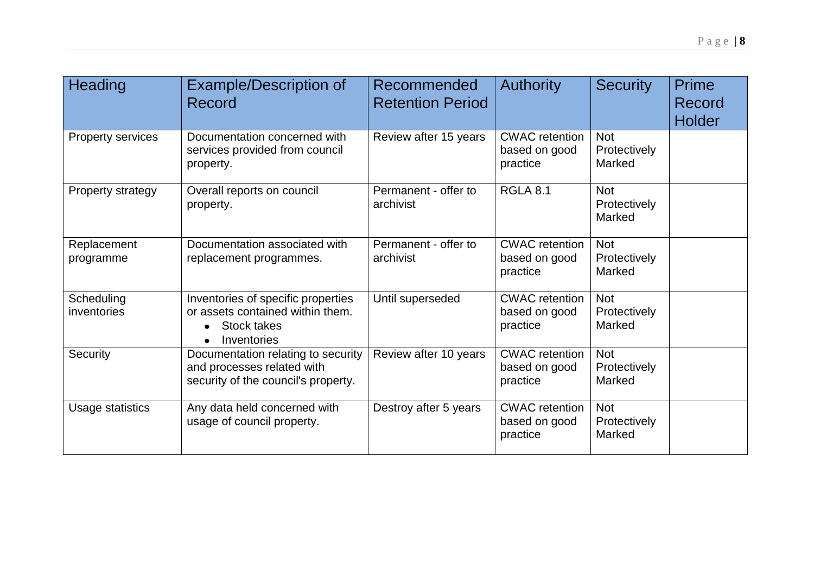| Heading                   | <b>Example/Description of</b><br>Record                                                                     | Recommended<br><b>Retention Period</b> | <b>Authority</b>                                   | <b>Security</b>                      | Prime<br>Record<br><b>Holder</b> |
|---------------------------|-------------------------------------------------------------------------------------------------------------|----------------------------------------|----------------------------------------------------|--------------------------------------|----------------------------------|
| Property services         | Documentation concerned with<br>services provided from council<br>property.                                 | Review after 15 years                  | <b>CWAC</b> retention<br>based on good<br>practice | <b>Not</b><br>Protectively<br>Marked |                                  |
| Property strategy         | Overall reports on council<br>property.                                                                     | Permanent - offer to<br>archivist      | <b>RGLA 8.1</b>                                    | <b>Not</b><br>Protectively<br>Marked |                                  |
| Replacement<br>programme  | Documentation associated with<br>replacement programmes.                                                    | Permanent - offer to<br>archivist      | <b>CWAC</b> retention<br>based on good<br>practice | <b>Not</b><br>Protectively<br>Marked |                                  |
| Scheduling<br>inventories | Inventories of specific properties<br>or assets contained within them.<br><b>Stock takes</b><br>Inventories | Until superseded                       | <b>CWAC</b> retention<br>based on good<br>practice | <b>Not</b><br>Protectively<br>Marked |                                  |
| Security                  | Documentation relating to security<br>and processes related with<br>security of the council's property.     | Review after 10 years                  | <b>CWAC</b> retention<br>based on good<br>practice | <b>Not</b><br>Protectively<br>Marked |                                  |
| Usage statistics          | Any data held concerned with<br>usage of council property.                                                  | Destroy after 5 years                  | <b>CWAC</b> retention<br>based on good<br>practice | <b>Not</b><br>Protectively<br>Marked |                                  |